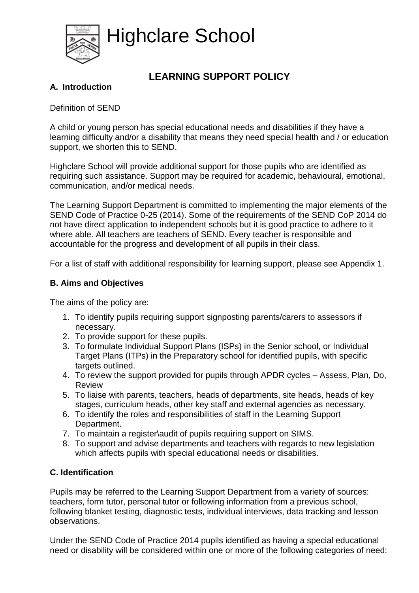

Highclare School

# **LEARNING SUPPORT POLICY**

## **A. Introduction**

Definition of SEND

A child or young person has special educational needs and disabilities if they have a learning difficulty and/or a disability that means they need special health and / or education support, we shorten this to SEND.

Highclare School will provide additional support for those pupils who are identified as requiring such assistance. Support may be required for academic, behavioural, emotional, communication, and/or medical needs.

The Learning Support Department is committed to implementing the major elements of the SEND Code of Practice 0-25 (2014). Some of the requirements of the SEND CoP 2014 do not have direct application to independent schools but it is good practice to adhere to it where able. All teachers are teachers of SEND. Every teacher is responsible and accountable for the progress and development of all pupils in their class.

For a list of staff with additional responsibility for learning support, please see Appendix 1.

#### **B. Aims and Objectives**

The aims of the policy are:

- 1. To identify pupils requiring support signposting parents/carers to assessors if necessary.
- 2. To provide support for these pupils.
- 3. To formulate Individual Support Plans (ISPs) in the Senior school, or Individual Target Plans (ITPs) in the Preparatory school for identified pupils, with specific targets outlined.
- 4. To review the support provided for pupils through APDR cycles Assess, Plan, Do, Review
- 5. To liaise with parents, teachers, heads of departments, site heads, heads of key stages, curriculum heads, other key staff and external agencies as necessary.
- 6. To identify the roles and responsibilities of staff in the Learning Support Department.
- 7. To maintain a register\audit of pupils requiring support on SIMS.
- 8. To support and advise departments and teachers with regards to new legislation which affects pupils with special educational needs or disabilities.

## **C. Identification**

Pupils may be referred to the Learning Support Department from a variety of sources: teachers, form tutor, personal tutor or following information from a previous school, following blanket testing, diagnostic tests, individual interviews, data tracking and lesson observations.

Under the SEND Code of Practice 2014 pupils identified as having a special educational need or disability will be considered within one or more of the following categories of need: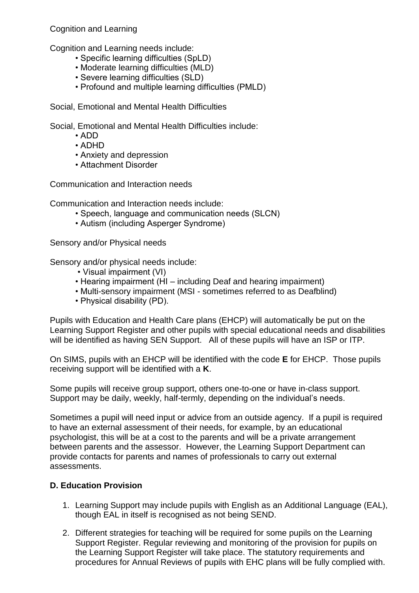Cognition and Learning

Cognition and Learning needs include:

- Specific learning difficulties (SpLD)
- Moderate learning difficulties (MLD)
- Severe learning difficulties (SLD)
- Profound and multiple learning difficulties (PMLD)

Social, Emotional and Mental Health Difficulties

Social, Emotional and Mental Health Difficulties include:

- ADD
- ADHD
- Anxiety and depression
- Attachment Disorder

Communication and Interaction needs

Communication and Interaction needs include:

- Speech, language and communication needs (SLCN)
- Autism (including Asperger Syndrome)

Sensory and/or Physical needs

Sensory and/or physical needs include:

- Visual impairment (VI)
- Hearing impairment (HI including Deaf and hearing impairment)
- Multi-sensory impairment (MSI sometimes referred to as Deafblind)
- Physical disability (PD).

Pupils with Education and Health Care plans (EHCP) will automatically be put on the Learning Support Register and other pupils with special educational needs and disabilities will be identified as having SEN Support. All of these pupils will have an ISP or ITP.

On SIMS, pupils with an EHCP will be identified with the code **E** for EHCP. Those pupils receiving support will be identified with a **K**.

Some pupils will receive group support, others one-to-one or have in-class support. Support may be daily, weekly, half-termly, depending on the individual's needs.

Sometimes a pupil will need input or advice from an outside agency. If a pupil is required to have an external assessment of their needs, for example, by an educational psychologist, this will be at a cost to the parents and will be a private arrangement between parents and the assessor. However, the Learning Support Department can provide contacts for parents and names of professionals to carry out external assessments.

#### **D. Education Provision**

- 1. Learning Support may include pupils with English as an Additional Language (EAL), though EAL in itself is recognised as not being SEND.
- 2. Different strategies for teaching will be required for some pupils on the Learning Support Register. Regular reviewing and monitoring of the provision for pupils on the Learning Support Register will take place. The statutory requirements and procedures for Annual Reviews of pupils with EHC plans will be fully complied with.